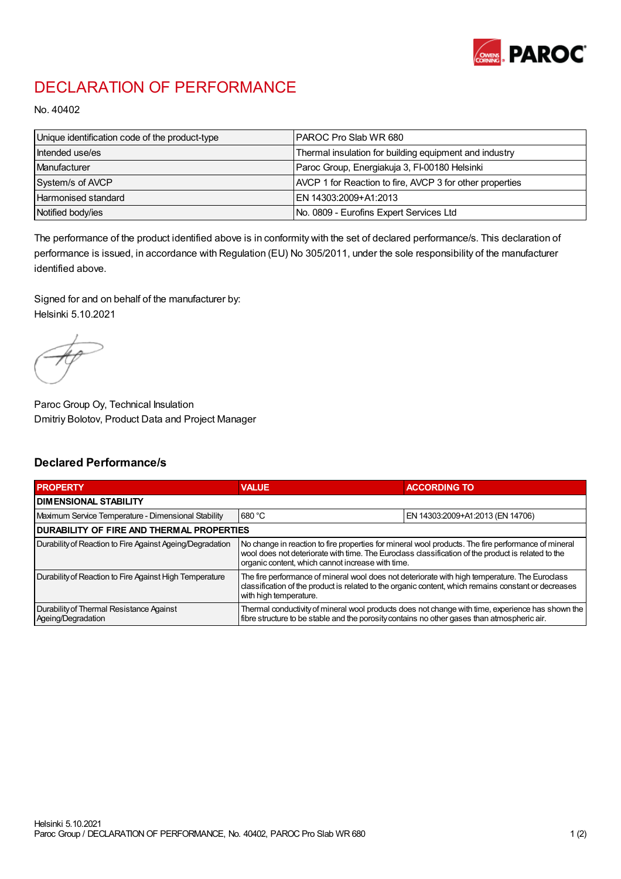

## DECLARATION OF PERFORMANCE

No. 40402

| Unique identification code of the product-type | IPAROC Pro Slab WR 680                                   |
|------------------------------------------------|----------------------------------------------------------|
| Intended use/es                                | Thermal insulation for building equipment and industry   |
| Manufacturer                                   | Paroc Group, Energiakuja 3, FI-00180 Helsinki            |
| System/s of AVCP                               | AVCP 1 for Reaction to fire, AVCP 3 for other properties |
| Harmonised standard                            | IEN 14303:2009+A1:2013                                   |
| Notified body/ies                              | No. 0809 - Eurofins Expert Services Ltd                  |

The performance of the product identified above is in conformity with the set of declared performance/s. This declaration of performance is issued, in accordance with Regulation (EU) No 305/2011, under the sole responsibility of the manufacturer identified above.

Signed for and on behalf of the manufacturer by: Helsinki 5.10.2021

Paroc Group Oy, Technical Insulation Dmitriy Bolotov, Product Data and Project Manager

## Declared Performance/s

| <b>PROPERTY</b>                                                | <b>VALUE</b>                                                                                                                                                                                                                                                   | <b>ACCORDING TO</b>              |  |
|----------------------------------------------------------------|----------------------------------------------------------------------------------------------------------------------------------------------------------------------------------------------------------------------------------------------------------------|----------------------------------|--|
| <b>DIMENSIONAL STABILITY</b>                                   |                                                                                                                                                                                                                                                                |                                  |  |
| Maximum Service Temperature - Dimensional Stability            | 680 °C                                                                                                                                                                                                                                                         | EN 14303:2009+A1:2013 (EN 14706) |  |
| <b>DURABILITY OF FIRE AND THERMAL PROPERTIES</b>               |                                                                                                                                                                                                                                                                |                                  |  |
| Durability of Reaction to Fire Against Ageing/Degradation      | No change in reaction to fire properties for mineral wool products. The fire performance of mineral<br>wool does not deteriorate with time. The Euroclass classification of the product is related to the<br>organic content, which cannot increase with time. |                                  |  |
| Durability of Reaction to Fire Against High Temperature        | The fire performance of mineral wool does not deteriorate with high temperature. The Euroclass<br>classification of the product is related to the organic content, which remains constant or decreases<br>with high temperature.                               |                                  |  |
| Durability of Thermal Resistance Against<br>Ageing/Degradation | Thermal conductivity of mineral wool products does not change with time, experience has shown the<br>fibre structure to be stable and the porosity contains no other gases than atmospheric air.                                                               |                                  |  |